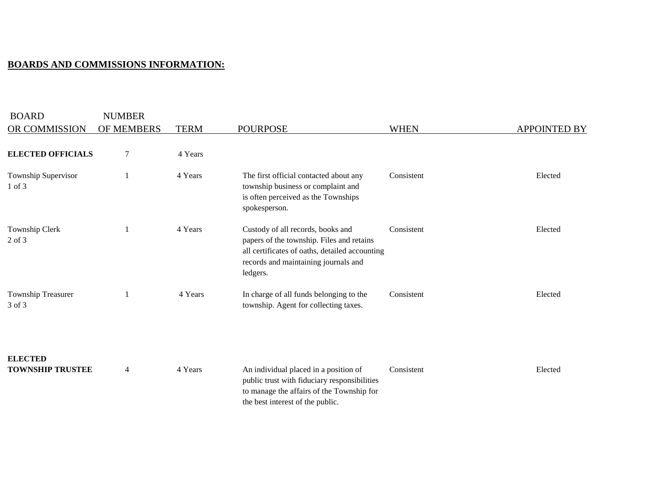## **BOARDS AND COMMISSIONS INFORMATION:**

| <b>BOARD</b>                              | <b>NUMBER</b> |             |                                                                                                                                                                                      |             |                     |
|-------------------------------------------|---------------|-------------|--------------------------------------------------------------------------------------------------------------------------------------------------------------------------------------|-------------|---------------------|
| OR COMMISSION                             | OF MEMBERS    | <b>TERM</b> | <b>POURPOSE</b>                                                                                                                                                                      | <b>WHEN</b> | <b>APPOINTED BY</b> |
| <b>ELECTED OFFICIALS</b>                  | 7             | 4 Years     |                                                                                                                                                                                      |             |                     |
| Township Supervisor<br>$1$ of $3$         |               | 4 Years     | The first official contacted about any<br>township business or complaint and<br>is often perceived as the Townships<br>spokesperson.                                                 | Consistent  | Elected             |
| Township Clerk<br>2 of 3                  |               | 4 Years     | Custody of all records, books and<br>papers of the township. Files and retains<br>all certificates of oaths, detailed accounting<br>records and maintaining journals and<br>ledgers. | Consistent  | Elected             |
| Township Treasurer<br>3 of 3              |               | 4 Years     | In charge of all funds belonging to the<br>township. Agent for collecting taxes.                                                                                                     | Consistent  | Elected             |
| <b>ELECTED</b><br><b>TOWNSHIP TRUSTEE</b> | 4             | 4 Years     | An individual placed in a position of<br>public trust with fiduciary responsibilities<br>to manage the affairs of the Township for<br>the best interest of the public.               | Consistent  | Elected             |